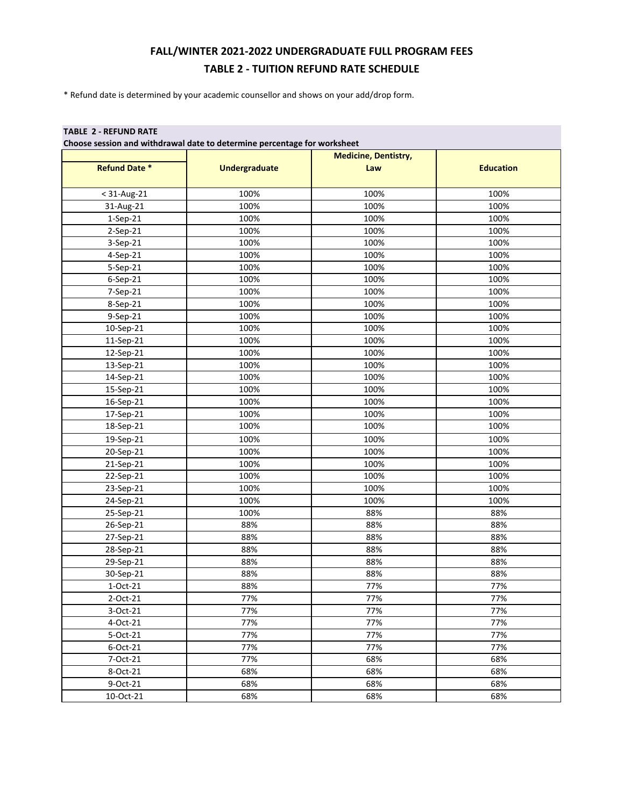## **FALL/WINTER 2021-2022 UNDERGRADUATE FULL PROGRAM FEES TABLE 2 - TUITION REFUND RATE SCHEDULE**

\* Refund date is determined by your academic counsellor and shows on your add/drop form.

## **TABLE 2 - REFUND RATE**

**Choose session and withdrawal date to determine percentage for worksheet**

|                      |                      | <b>Medicine, Dentistry,</b> |                  |
|----------------------|----------------------|-----------------------------|------------------|
| <b>Refund Date *</b> | <b>Undergraduate</b> | Law                         | <b>Education</b> |
|                      |                      |                             |                  |
| $<$ 31-Aug-21        | 100%                 | 100%                        | 100%             |
| 31-Aug-21            | 100%                 | 100%                        | 100%             |
| 1-Sep-21             | 100%                 | 100%                        | 100%             |
| 2-Sep-21             | 100%                 | 100%                        | 100%             |
| 3-Sep-21             | 100%                 | 100%                        | 100%             |
| 4-Sep-21             | 100%                 | 100%                        | 100%             |
| 5-Sep-21             | 100%                 | 100%                        | 100%             |
| 6-Sep-21             | 100%                 | 100%                        | 100%             |
| 7-Sep-21             | 100%                 | 100%                        | 100%             |
| 8-Sep-21             | 100%                 | 100%                        | 100%             |
| 9-Sep-21             | 100%                 | 100%                        | 100%             |
| 10-Sep-21            | 100%                 | 100%                        | 100%             |
| 11-Sep-21            | 100%                 | 100%                        | 100%             |
| 12-Sep-21            | 100%                 | 100%                        | 100%             |
| 13-Sep-21            | 100%                 | 100%                        | 100%             |
| 14-Sep-21            | 100%                 | 100%                        | 100%             |
| 15-Sep-21            | 100%                 | 100%                        | 100%             |
| 16-Sep-21            | 100%                 | 100%                        | 100%             |
| 17-Sep-21            | 100%                 | 100%                        | 100%             |
| 18-Sep-21            | 100%                 | 100%                        | 100%             |
| 19-Sep-21            | 100%                 | 100%                        | 100%             |
| 20-Sep-21            | 100%                 | 100%                        | 100%             |
| 21-Sep-21            | 100%                 | 100%                        | 100%             |
| 22-Sep-21            | 100%                 | 100%                        | 100%             |
| 23-Sep-21            | 100%                 | 100%                        | 100%             |
| 24-Sep-21            | 100%                 | 100%                        | 100%             |
| 25-Sep-21            | 100%                 | 88%                         | 88%              |
| 26-Sep-21            | 88%                  | 88%                         | 88%              |
| 27-Sep-21            | 88%                  | 88%                         | 88%              |
| 28-Sep-21            | 88%                  | 88%                         | 88%              |
| 29-Sep-21            | 88%                  | 88%                         | 88%              |
| 30-Sep-21            | 88%                  | 88%                         | 88%              |
| 1-Oct-21             | 88%                  | 77%                         | 77%              |
| 2-Oct-21             | 77%                  | 77%                         | 77%              |
| 3-Oct-21             | 77%                  | 77%                         | 77%              |
| 4-Oct-21             | 77%                  | 77%                         | 77%              |
| 5-Oct-21             | 77%                  | 77%                         | 77%              |
| 6-Oct-21             | 77%                  | 77%                         | 77%              |
| 7-Oct-21             | 77%                  | 68%                         | 68%              |
| 8-Oct-21             | 68%                  | 68%                         | 68%              |
| 9-Oct-21             | 68%                  | 68%                         | 68%              |
| 10-Oct-21            | 68%                  | 68%                         | 68%              |